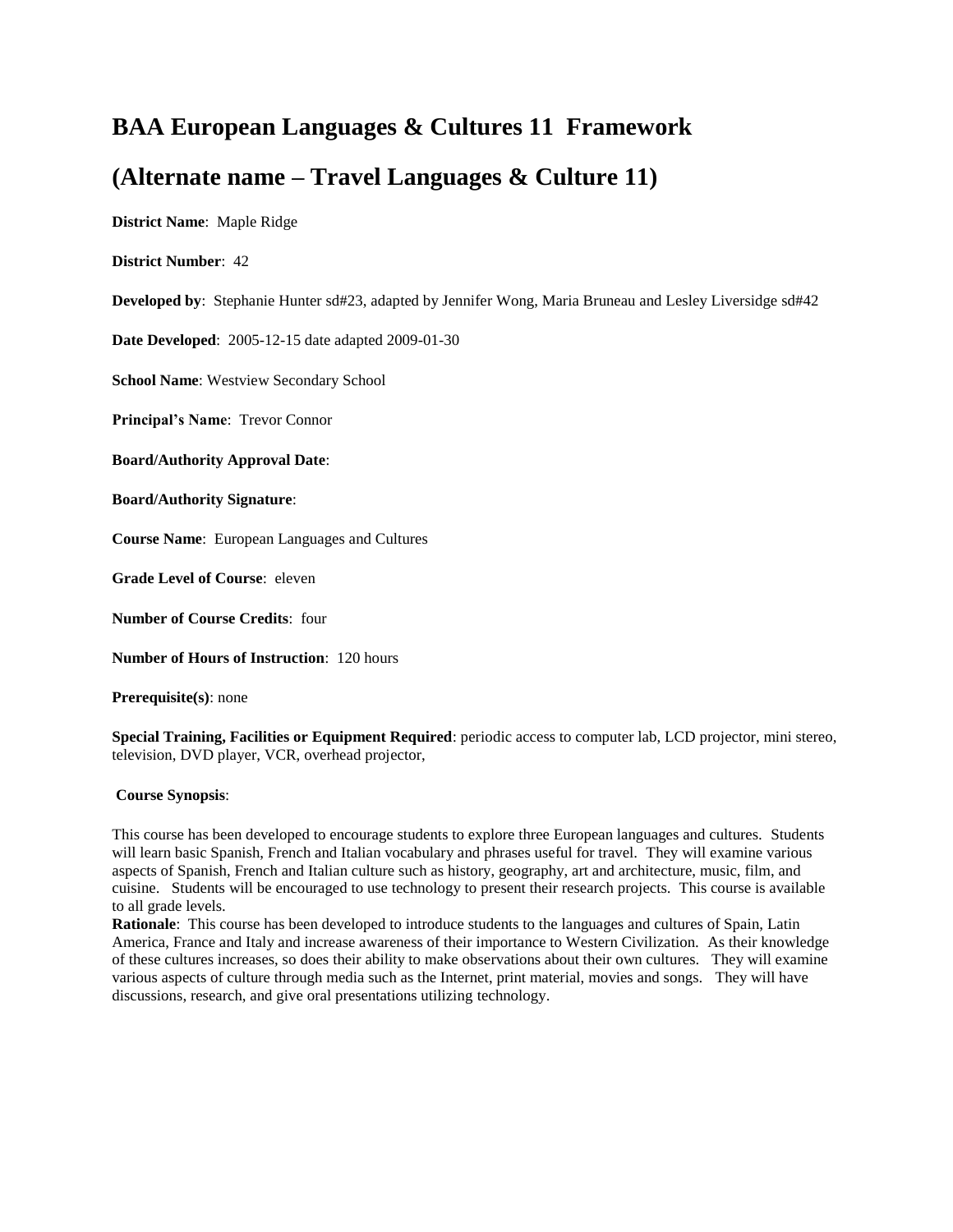# **BAA European Languages & Cultures 11 Framework**

# **(Alternate name – Travel Languages & Culture 11)**

**District Name**: Maple Ridge

**District Number**: 42

**Developed by**: Stephanie Hunter sd#23, adapted by Jennifer Wong, Maria Bruneau and Lesley Liversidge sd#42

**Date Developed**: 2005-12-15 date adapted 2009-01-30

**School Name**: Westview Secondary School

**Principal's Name**: Trevor Connor

**Board/Authority Approval Date**:

**Board/Authority Signature**:

**Course Name**: European Languages and Cultures

**Grade Level of Course**: eleven

**Number of Course Credits**: four

**Number of Hours of Instruction**: 120 hours

**Prerequisite(s)**: none

**Special Training, Facilities or Equipment Required**: periodic access to computer lab, LCD projector, mini stereo, television, DVD player, VCR, overhead projector,

# **Course Synopsis**:

This course has been developed to encourage students to explore three European languages and cultures. Students will learn basic Spanish, French and Italian vocabulary and phrases useful for travel. They will examine various aspects of Spanish, French and Italian culture such as history, geography, art and architecture, music, film, and cuisine. Students will be encouraged to use technology to present their research projects. This course is available to all grade levels.

**Rationale**: This course has been developed to introduce students to the languages and cultures of Spain, Latin America, France and Italy and increase awareness of their importance to Western Civilization. As their knowledge of these cultures increases, so does their ability to make observations about their own cultures. They will examine various aspects of culture through media such as the Internet, print material, movies and songs. They will have discussions, research, and give oral presentations utilizing technology.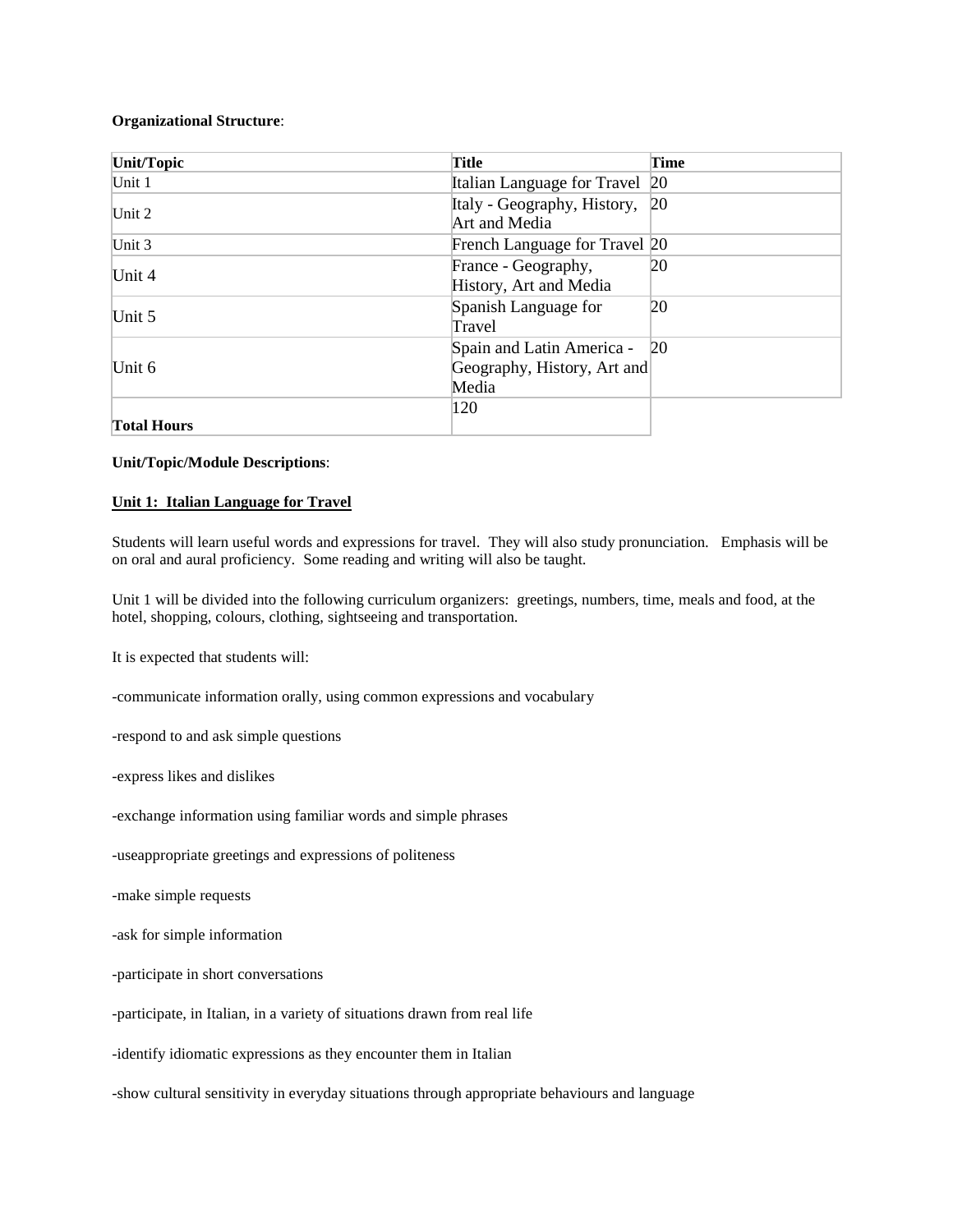## **Organizational Structure**:

| Unit/Topic         | <b>Title</b>                                                         | Time |
|--------------------|----------------------------------------------------------------------|------|
| Unit 1             | Italian Language for Travel 20                                       |      |
| Unit 2             | Italy - Geography, History, 20<br>Art and Media                      |      |
| Unit $3$           | French Language for Travel 20                                        |      |
| Unit 4             | France - Geography,<br>History, Art and Media                        | 20   |
| Unit 5             | Spanish Language for<br>Travel                                       | 20   |
| Unit $6$           | Spain and Latin America - 20<br>Geography, History, Art and<br>Media |      |
| <b>Total Hours</b> | 120                                                                  |      |

**Unit/Topic/Module Descriptions**:

## **Unit 1: Italian Language for Travel**

Students will learn useful words and expressions for travel. They will also study pronunciation. Emphasis will be on oral and aural proficiency. Some reading and writing will also be taught.

Unit 1 will be divided into the following curriculum organizers: greetings, numbers, time, meals and food, at the hotel, shopping, colours, clothing, sightseeing and transportation.

It is expected that students will:

-communicate information orally, using common expressions and vocabulary

-respond to and ask simple questions

-express likes and dislikes

-exchange information using familiar words and simple phrases

-useappropriate greetings and expressions of politeness

-make simple requests

-ask for simple information

-participate in short conversations

-participate, in Italian, in a variety of situations drawn from real life

-identify idiomatic expressions as they encounter them in Italian

-show cultural sensitivity in everyday situations through appropriate behaviours and language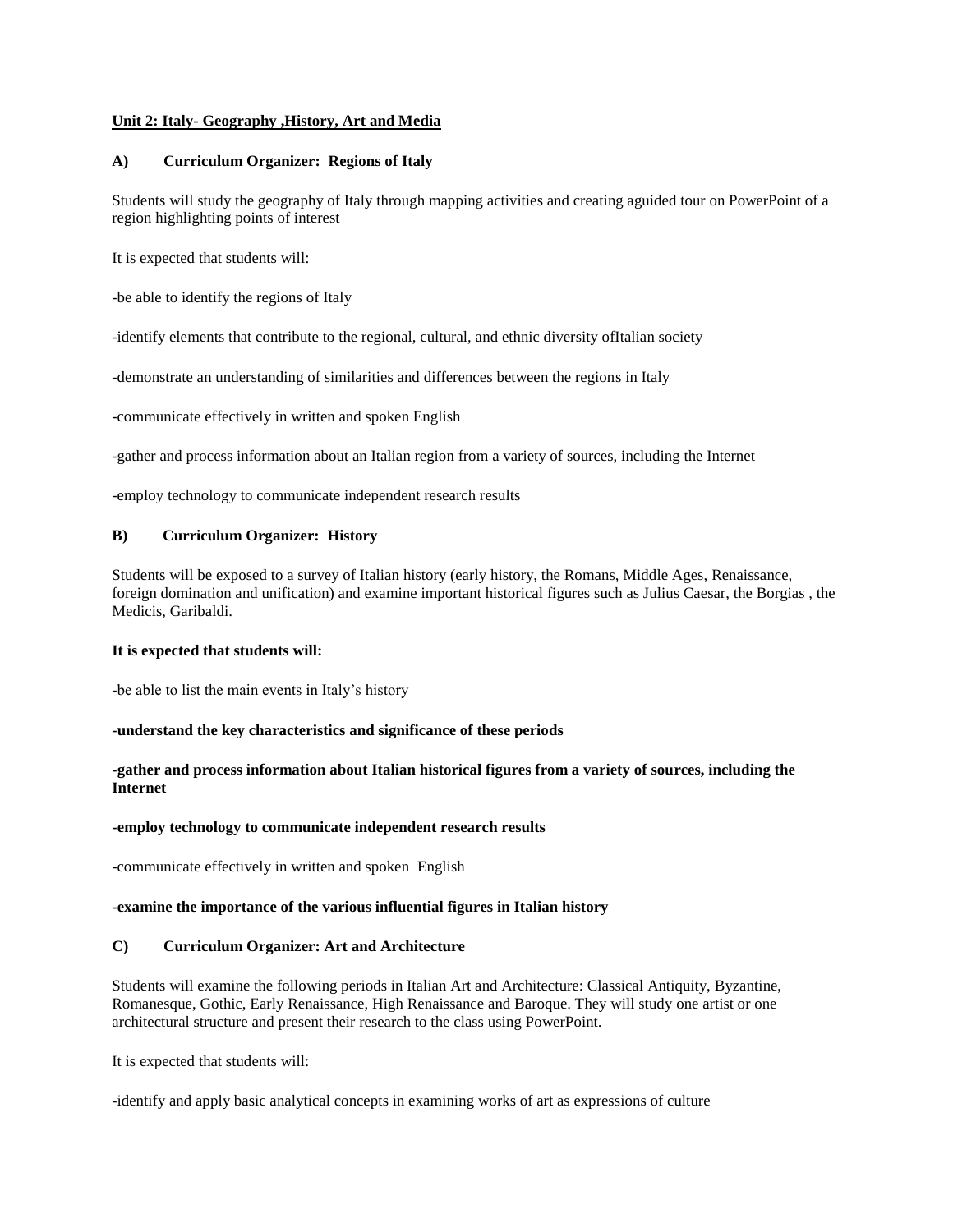# **Unit 2: Italy- Geography ,History, Art and Media**

## **A) Curriculum Organizer: Regions of Italy**

Students will study the geography of Italy through mapping activities and creating aguided tour on PowerPoint of a region highlighting points of interest

It is expected that students will:

-be able to identify the regions of Italy

-identify elements that contribute to the regional, cultural, and ethnic diversity ofItalian society

-demonstrate an understanding of similarities and differences between the regions in Italy

-communicate effectively in written and spoken English

-gather and process information about an Italian region from a variety of sources, including the Internet

-employ technology to communicate independent research results

## **B) Curriculum Organizer: History**

Students will be exposed to a survey of Italian history (early history, the Romans, Middle Ages, Renaissance, foreign domination and unification) and examine important historical figures such as Julius Caesar, the Borgias , the Medicis, Garibaldi.

## **It is expected that students will:**

-be able to list the main events in Italy's history

## **-understand the key characteristics and significance of these periods**

# **-gather and process information about Italian historical figures from a variety of sources, including the Internet**

## **-employ technology to communicate independent research results**

-communicate effectively in written and spoken English

# **-examine the importance of the various influential figures in Italian history**

## **C) Curriculum Organizer: Art and Architecture**

Students will examine the following periods in Italian Art and Architecture: Classical Antiquity, Byzantine, Romanesque, Gothic, Early Renaissance, High Renaissance and Baroque. They will study one artist or one architectural structure and present their research to the class using PowerPoint.

It is expected that students will:

-identify and apply basic analytical concepts in examining works of art as expressions of culture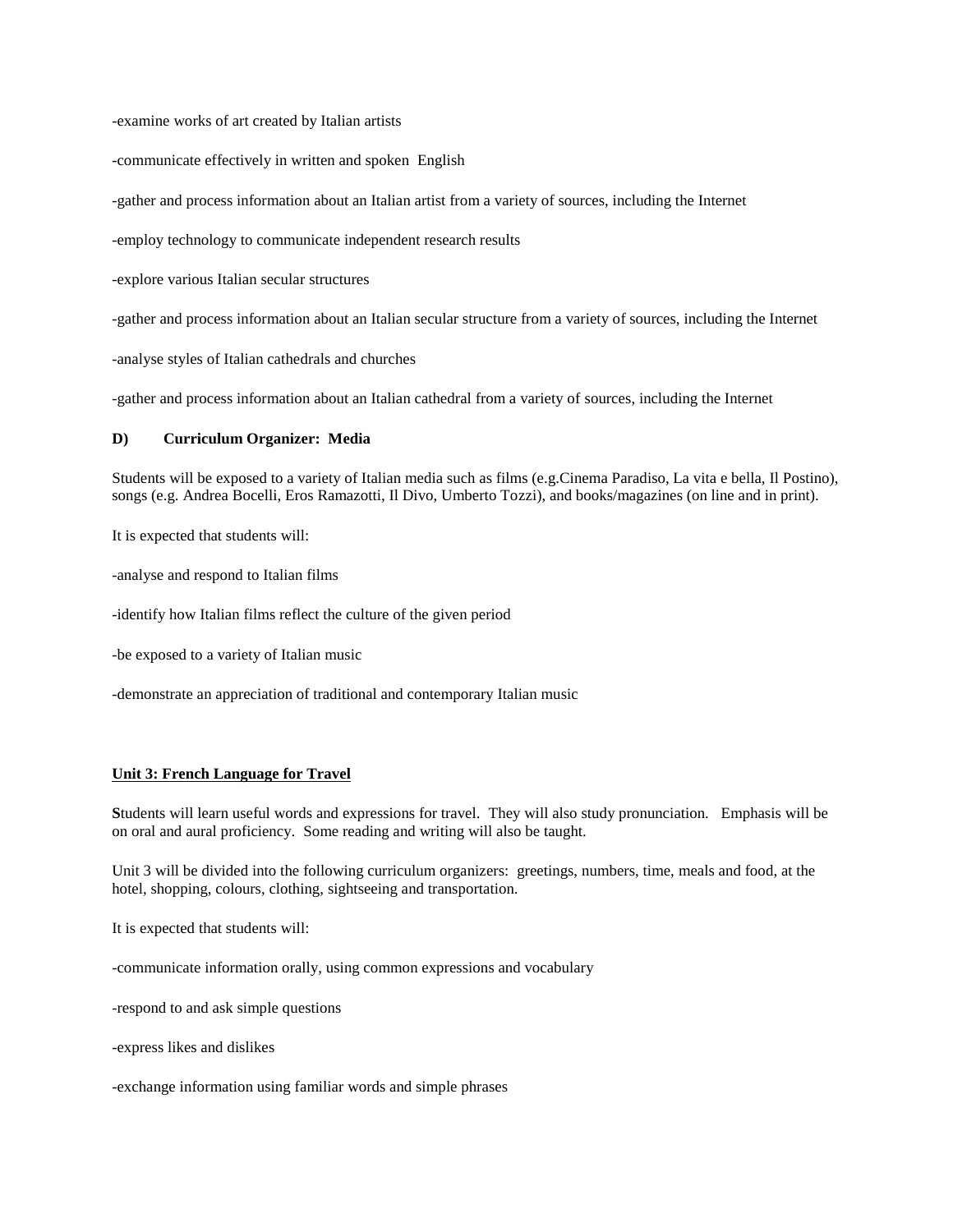-examine works of art created by Italian artists

-communicate effectively in written and spoken English

-gather and process information about an Italian artist from a variety of sources, including the Internet

-employ technology to communicate independent research results

-explore various Italian secular structures

-gather and process information about an Italian secular structure from a variety of sources, including the Internet

-analyse styles of Italian cathedrals and churches

-gather and process information about an Italian cathedral from a variety of sources, including the Internet

#### **D) Curriculum Organizer: Media**

Students will be exposed to a variety of Italian media such as films (e.g.Cinema Paradiso, La vita e bella, Il Postino), songs (e.g. Andrea Bocelli, Eros Ramazotti, Il Divo, Umberto Tozzi), and books/magazines (on line and in print).

It is expected that students will:

-analyse and respond to Italian films

-identify how Italian films reflect the culture of the given period

-be exposed to a variety of Italian music

-demonstrate an appreciation of traditional and contemporary Italian music

#### **Unit 3: French Language for Travel**

**S**tudents will learn useful words and expressions for travel. They will also study pronunciation. Emphasis will be on oral and aural proficiency. Some reading and writing will also be taught.

Unit 3 will be divided into the following curriculum organizers: greetings, numbers, time, meals and food, at the hotel, shopping, colours, clothing, sightseeing and transportation.

It is expected that students will:

-communicate information orally, using common expressions and vocabulary

-respond to and ask simple questions

-express likes and dislikes

-exchange information using familiar words and simple phrases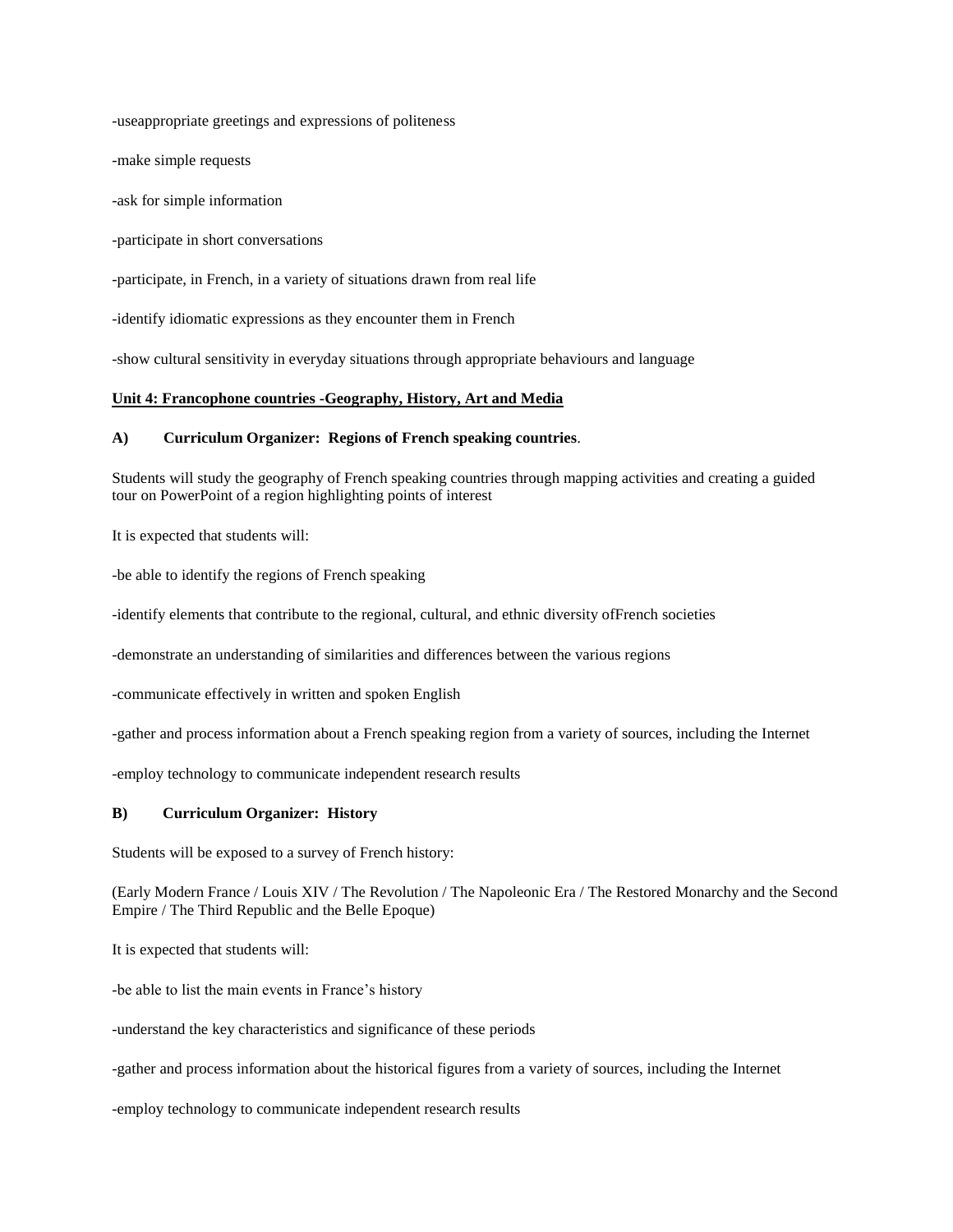-useappropriate greetings and expressions of politeness

-make simple requests

-ask for simple information

-participate in short conversations

-participate, in French, in a variety of situations drawn from real life

-identify idiomatic expressions as they encounter them in French

-show cultural sensitivity in everyday situations through appropriate behaviours and language

#### **Unit 4: Francophone countries -Geography, History, Art and Media**

#### **A) Curriculum Organizer: Regions of French speaking countries**.

Students will study the geography of French speaking countries through mapping activities and creating a guided tour on PowerPoint of a region highlighting points of interest

It is expected that students will:

-be able to identify the regions of French speaking

-identify elements that contribute to the regional, cultural, and ethnic diversity ofFrench societies

-demonstrate an understanding of similarities and differences between the various regions

-communicate effectively in written and spoken English

-gather and process information about a French speaking region from a variety of sources, including the Internet

-employ technology to communicate independent research results

## **B) Curriculum Organizer: History**

Students will be exposed to a survey of French history:

(Early Modern France / Louis XIV / The Revolution / The Napoleonic Era / The Restored Monarchy and the Second Empire / The Third Republic and the Belle Epoque)

It is expected that students will:

-be able to list the main events in France's history

-understand the key characteristics and significance of these periods

-gather and process information about the historical figures from a variety of sources, including the Internet

-employ technology to communicate independent research results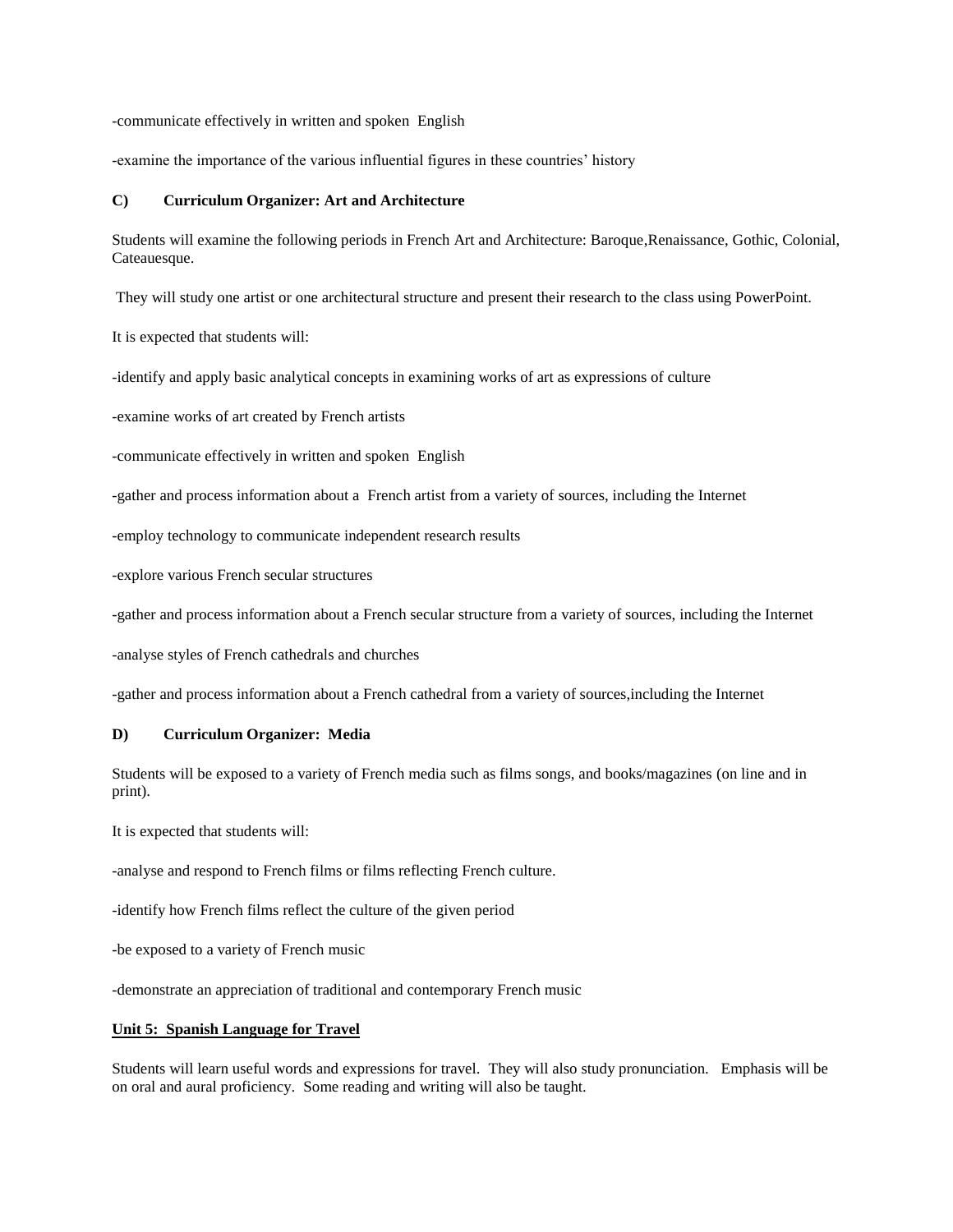-communicate effectively in written and spoken English

-examine the importance of the various influential figures in these countries' history

#### **C) Curriculum Organizer: Art and Architecture**

Students will examine the following periods in French Art and Architecture: Baroque,Renaissance, Gothic, Colonial, Cateauesque.

They will study one artist or one architectural structure and present their research to the class using PowerPoint.

It is expected that students will:

-identify and apply basic analytical concepts in examining works of art as expressions of culture

-examine works of art created by French artists

-communicate effectively in written and spoken English

-gather and process information about a French artist from a variety of sources, including the Internet

-employ technology to communicate independent research results

-explore various French secular structures

-gather and process information about a French secular structure from a variety of sources, including the Internet

-analyse styles of French cathedrals and churches

-gather and process information about a French cathedral from a variety of sources,including the Internet

## **D) Curriculum Organizer: Media**

Students will be exposed to a variety of French media such as films songs, and books/magazines (on line and in print).

It is expected that students will:

-analyse and respond to French films or films reflecting French culture.

-identify how French films reflect the culture of the given period

-be exposed to a variety of French music

-demonstrate an appreciation of traditional and contemporary French music

#### **Unit 5: Spanish Language for Travel**

Students will learn useful words and expressions for travel. They will also study pronunciation. Emphasis will be on oral and aural proficiency. Some reading and writing will also be taught.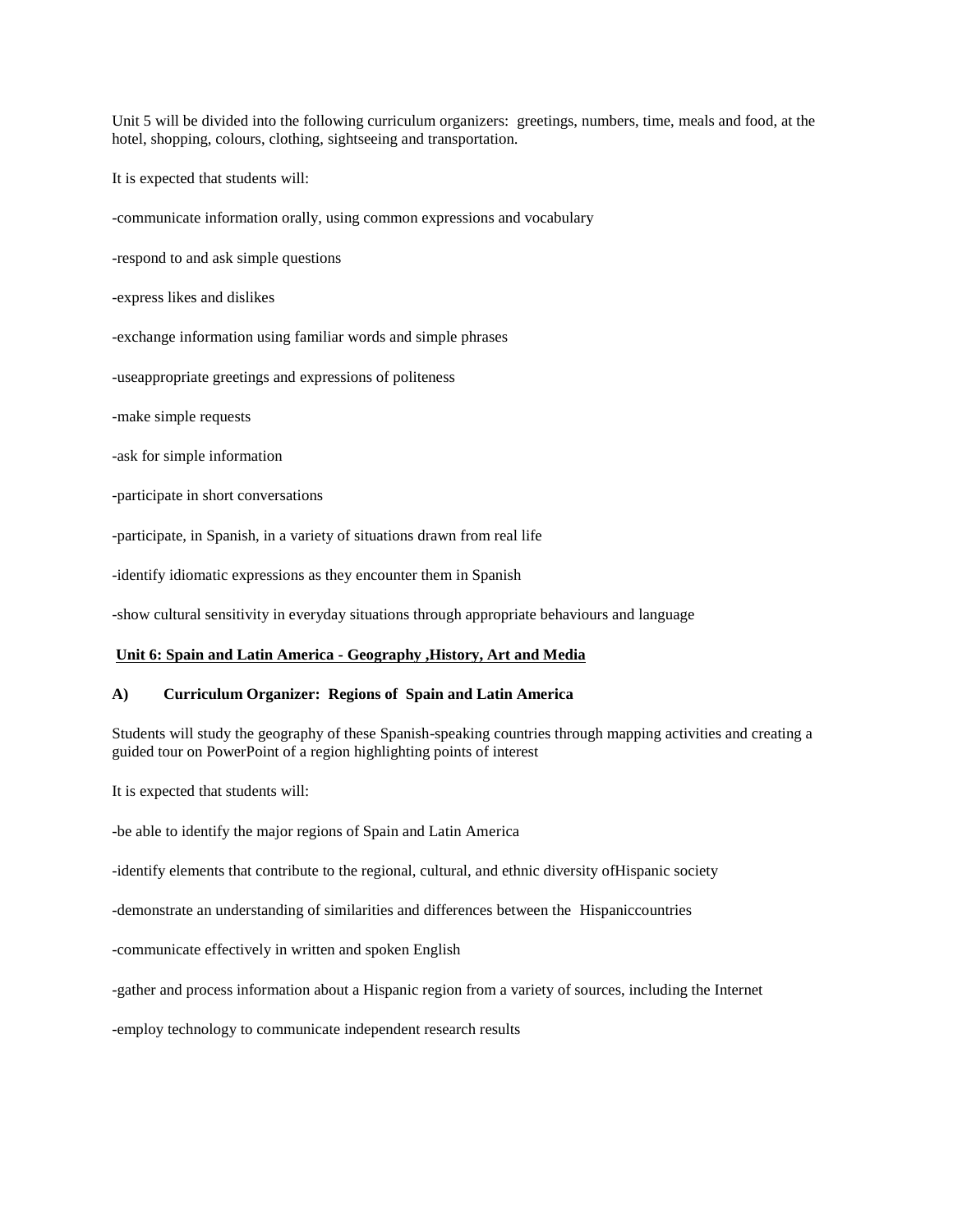Unit 5 will be divided into the following curriculum organizers: greetings, numbers, time, meals and food, at the hotel, shopping, colours, clothing, sightseeing and transportation.

It is expected that students will:

-communicate information orally, using common expressions and vocabulary

-respond to and ask simple questions

-express likes and dislikes

-exchange information using familiar words and simple phrases

-useappropriate greetings and expressions of politeness

-make simple requests

-ask for simple information

-participate in short conversations

-participate, in Spanish, in a variety of situations drawn from real life

-identify idiomatic expressions as they encounter them in Spanish

-show cultural sensitivity in everyday situations through appropriate behaviours and language

#### **Unit 6: Spain and Latin America - Geography ,History, Art and Media**

## **A) Curriculum Organizer: Regions of Spain and Latin America**

Students will study the geography of these Spanish-speaking countries through mapping activities and creating a guided tour on PowerPoint of a region highlighting points of interest

It is expected that students will:

-be able to identify the major regions of Spain and Latin America

-identify elements that contribute to the regional, cultural, and ethnic diversity ofHispanic society

-demonstrate an understanding of similarities and differences between the Hispaniccountries

-communicate effectively in written and spoken English

-gather and process information about a Hispanic region from a variety of sources, including the Internet

-employ technology to communicate independent research results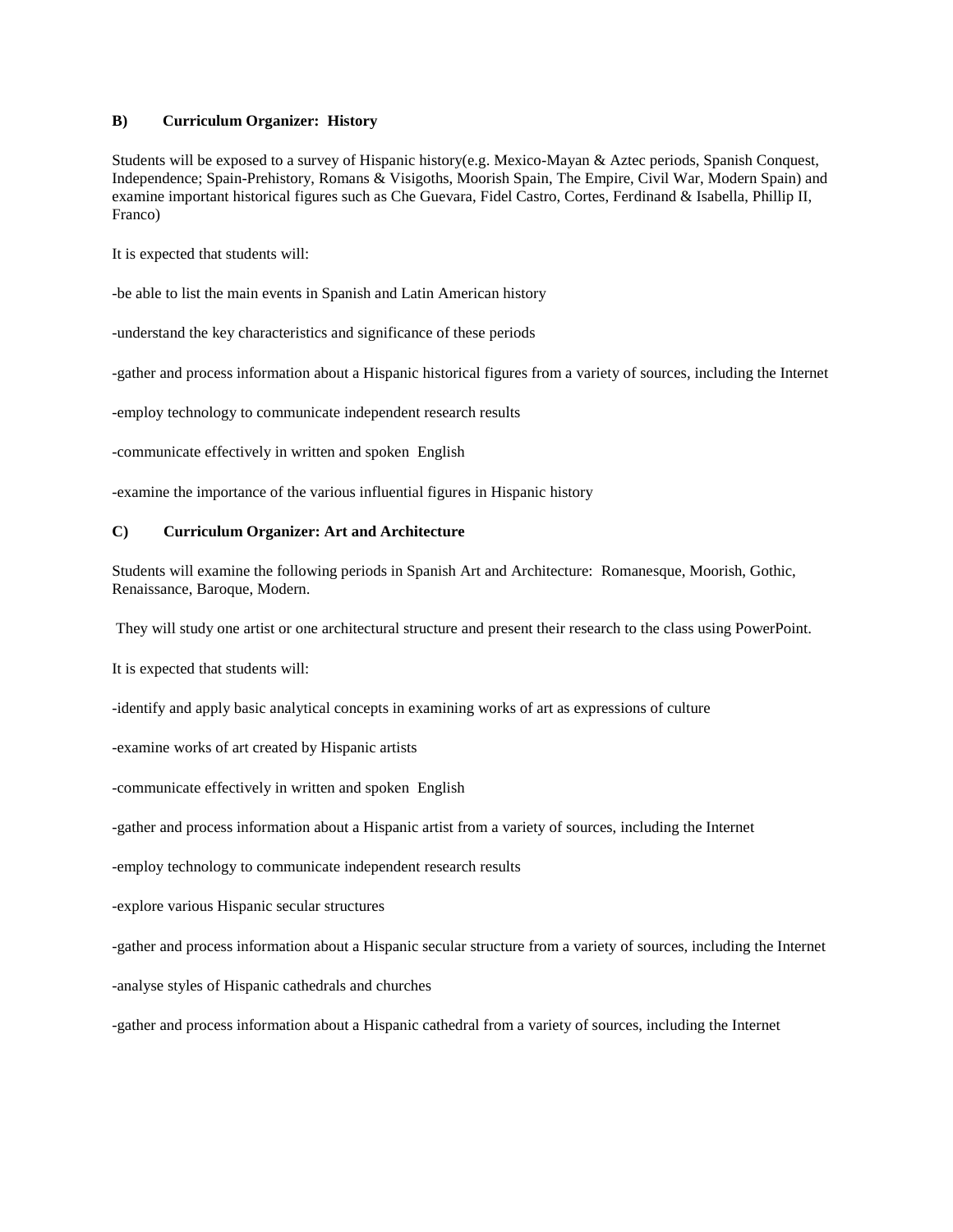# **B) Curriculum Organizer: History**

Students will be exposed to a survey of Hispanic history(e.g. Mexico-Mayan & Aztec periods, Spanish Conquest, Independence; Spain-Prehistory, Romans & Visigoths, Moorish Spain, The Empire, Civil War, Modern Spain) and examine important historical figures such as Che Guevara, Fidel Castro, Cortes, Ferdinand & Isabella, Phillip II, Franco)

It is expected that students will:

-be able to list the main events in Spanish and Latin American history

-understand the key characteristics and significance of these periods

-gather and process information about a Hispanic historical figures from a variety of sources, including the Internet

-employ technology to communicate independent research results

-communicate effectively in written and spoken English

-examine the importance of the various influential figures in Hispanic history

## **C) Curriculum Organizer: Art and Architecture**

Students will examine the following periods in Spanish Art and Architecture: Romanesque, Moorish, Gothic, Renaissance, Baroque, Modern.

They will study one artist or one architectural structure and present their research to the class using PowerPoint.

It is expected that students will:

-identify and apply basic analytical concepts in examining works of art as expressions of culture

-examine works of art created by Hispanic artists

-communicate effectively in written and spoken English

-gather and process information about a Hispanic artist from a variety of sources, including the Internet

-employ technology to communicate independent research results

-explore various Hispanic secular structures

-gather and process information about a Hispanic secular structure from a variety of sources, including the Internet

-analyse styles of Hispanic cathedrals and churches

-gather and process information about a Hispanic cathedral from a variety of sources, including the Internet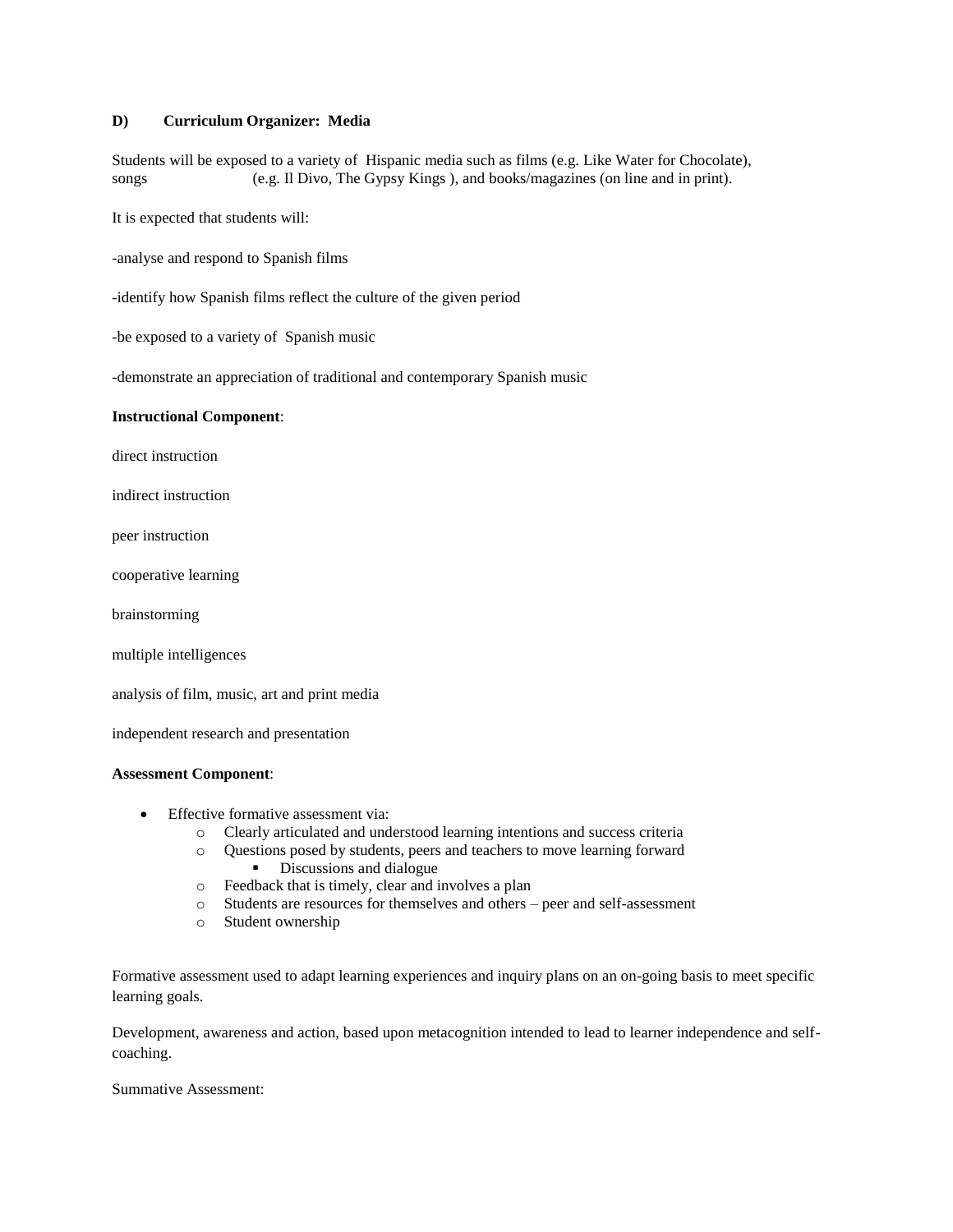## **D) Curriculum Organizer: Media**

Students will be exposed to a variety of Hispanic media such as films (e.g. Like Water for Chocolate), songs (e.g. Il Divo, The Gypsy Kings ), and books/magazines (on line and in print).

It is expected that students will:

-analyse and respond to Spanish films

-identify how Spanish films reflect the culture of the given period

-be exposed to a variety of Spanish music

-demonstrate an appreciation of traditional and contemporary Spanish music

#### **Instructional Component**:

direct instruction

indirect instruction

peer instruction

cooperative learning

brainstorming

multiple intelligences

analysis of film, music, art and print media

independent research and presentation

# **Assessment Component**:

- Effective formative assessment via:
	- o Clearly articulated and understood learning intentions and success criteria
	- o Questions posed by students, peers and teachers to move learning forward Discussions and dialogue
	- o Feedback that is timely, clear and involves a plan
	- o Students are resources for themselves and others peer and self-assessment
	- o Student ownership

Formative assessment used to adapt learning experiences and inquiry plans on an on-going basis to meet specific learning goals.

Development, awareness and action, based upon metacognition intended to lead to learner independence and selfcoaching.

Summative Assessment: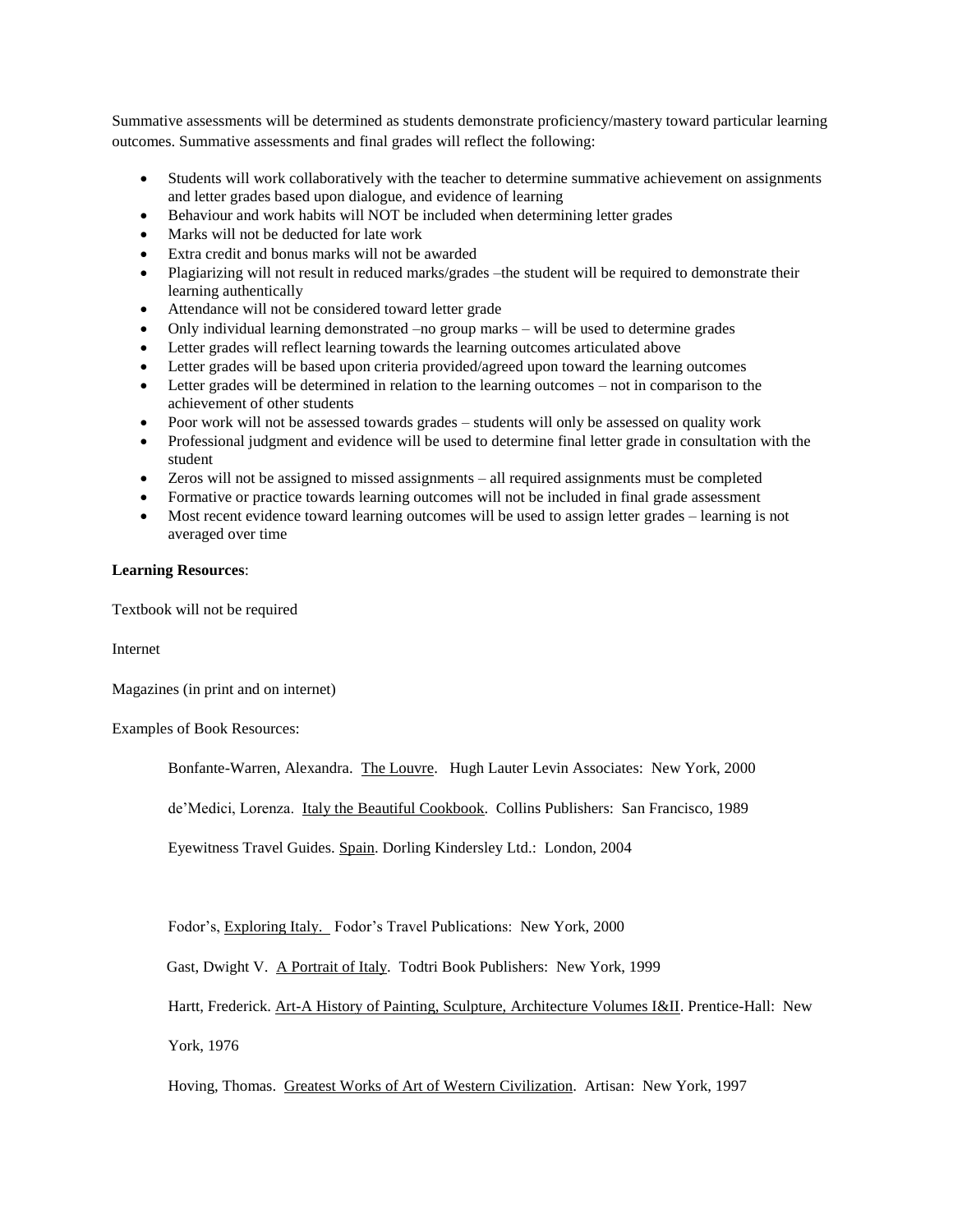Summative assessments will be determined as students demonstrate proficiency/mastery toward particular learning outcomes. Summative assessments and final grades will reflect the following:

- Students will work collaboratively with the teacher to determine summative achievement on assignments and letter grades based upon dialogue, and evidence of learning
- Behaviour and work habits will NOT be included when determining letter grades
- Marks will not be deducted for late work
- Extra credit and bonus marks will not be awarded
- Plagiarizing will not result in reduced marks/grades –the student will be required to demonstrate their learning authentically
- Attendance will not be considered toward letter grade
- Only individual learning demonstrated –no group marks will be used to determine grades
- Letter grades will reflect learning towards the learning outcomes articulated above
- Letter grades will be based upon criteria provided/agreed upon toward the learning outcomes
- Letter grades will be determined in relation to the learning outcomes not in comparison to the achievement of other students
- Poor work will not be assessed towards grades students will only be assessed on quality work
- Professional judgment and evidence will be used to determine final letter grade in consultation with the student
- Zeros will not be assigned to missed assignments all required assignments must be completed
- Formative or practice towards learning outcomes will not be included in final grade assessment
- Most recent evidence toward learning outcomes will be used to assign letter grades learning is not averaged over time

## **Learning Resources**:

Textbook will not be required

Internet

Magazines (in print and on internet)

Examples of Book Resources:

Bonfante-Warren, Alexandra. The Louvre. Hugh Lauter Levin Associates: New York, 2000

de'Medici, Lorenza. Italy the Beautiful Cookbook. Collins Publishers: San Francisco, 1989

Eyewitness Travel Guides. Spain. Dorling Kindersley Ltd.: London, 2004

Fodor's, Exploring Italy. Fodor's Travel Publications: New York, 2000

Gast, Dwight V. A Portrait of Italy. Todtri Book Publishers: New York, 1999

Hartt, Frederick. Art-A History of Painting, Sculpture, Architecture Volumes I&II. Prentice-Hall: New

York, 1976

Hoving, Thomas. Greatest Works of Art of Western Civilization. Artisan: New York, 1997